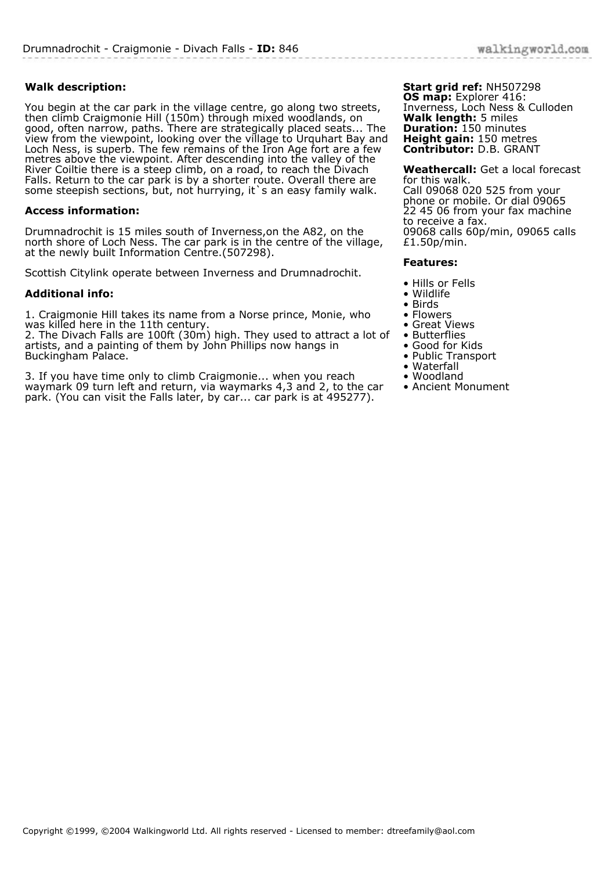## **Walk description:**

You begin at the car park in the village centre, go along two streets, then climb Craigmonie Hill (150m) through mixed woodlands, on good, often narrow, paths. There are strategically placed seats... The view from the viewpoint, looking over the village to Urquhart Bay and Loch Ness, is superb. The few remains of the Iron Age fort are a few metres above the viewpoint. After descending into the valley of the River Coiltie there is a steep climb, on a road, to reach the Divach Falls. Return to the car park is by a shorter route. Overall there are some steepish sections, but, not hurrying, it s an easy family walk.

## **Access information:**

Drumnadrochit is 15 miles south of Inverness,on the A82, on the north shore of Loch Ness. The car park is in the centre of the village, at the newly built Information Centre.(507298).

Scottish Citylink operate between Inverness and Drumnadrochit.

## **Additional info:**

1. Craigmonie Hill takes its name from a Norse prince, Monie, who was killed here in the 11th century.

2. The Divach Falls are 100ft (30m) high. They used to attract a lot of artists, and a painting of them by John Phillips now hangs in Buckingham Palace.

3. If you have time only to climb Craigmonie... when you reach waymark 09 turn left and return, via waymarks 4,3 and 2, to the car park. (You can visit the Falls later, by car... car park is at 495277).

**Start grid ref:** NH507298 **OS map:** Explorer 416: Inverness, Loch Ness & Culloden **Walk length:** 5 miles **Duration:** 150 minutes **Height gain:** 150 metres **Contributor:** D.B. GRANT

**Weathercall:** Get a local forecast for this walk. Call 09068 020 525 from your phone or mobile. Or dial 09065 22 45 06 from your fax machine to receive a fax. 09068 calls 60p/min, 09065 calls £1.50p/min.

## **Features:**

- Hills or Fells
- Wildlife
- Birds
- Flowers
- Great Views
- Butterflies
- Good for Kids
- Public Transport • Waterfall
- Woodland
- Ancient Monument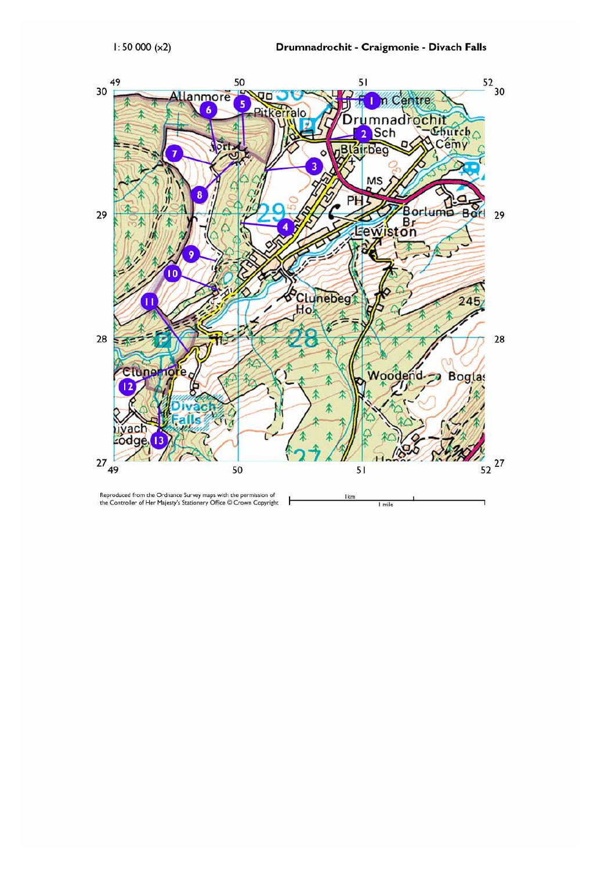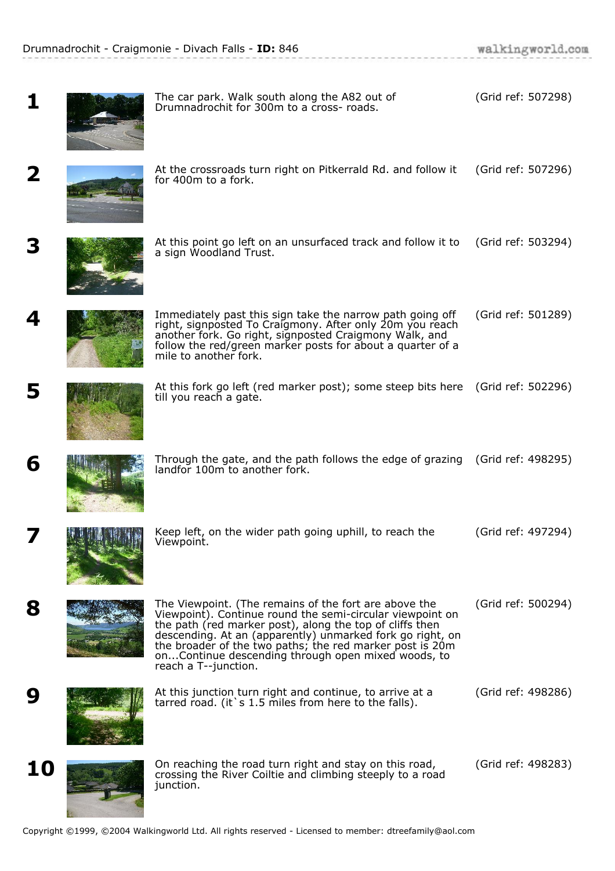.<br>De la contra la contra la contra

| 1  | The car park. Walk south along the A82 out of<br>Drumnadrochit for 300m to a cross- roads.                                                                                                                                                                                                                                                                                            | (Grid ref: 507298) |
|----|---------------------------------------------------------------------------------------------------------------------------------------------------------------------------------------------------------------------------------------------------------------------------------------------------------------------------------------------------------------------------------------|--------------------|
| 2  | At the crossroads turn right on Pitkerrald Rd. and follow it<br>for 400m to a fork.                                                                                                                                                                                                                                                                                                   | (Grid ref: 507296) |
| 3  | At this point go left on an unsurfaced track and follow it to<br>a sign Woodland Trust.                                                                                                                                                                                                                                                                                               | (Grid ref: 503294) |
| 4  | Immediately past this sign take the narrow path going off<br>right, signposted To Craigmony. After only 20m you reach<br>another fork. Go right, signposted Craigmony Walk, and<br>follow the red/green marker posts for about a quarter of a<br>mile to another fork.                                                                                                                | (Grid ref: 501289) |
| 5  | At this fork go left (red marker post); some steep bits here (Grid ref: 502296)<br>till you reach a gate.                                                                                                                                                                                                                                                                             |                    |
| 6  | Through the gate, and the path follows the edge of grazing (Grid ref: 498295)<br>landfor 100m to another fork.                                                                                                                                                                                                                                                                        |                    |
|    | Keep left, on the wider path going uphill, to reach the<br>Viewpoint.                                                                                                                                                                                                                                                                                                                 | (Grid ref: 497294) |
| 8  | The Viewpoint. (The remains of the fort are above the<br>Viewpoint). Continue round the semi-circular viewpoint on<br>the path (red marker post), along the top of cliffs then<br>descending. At an (apparently) unmarked fork go right, on<br>the broader of the two paths; the red marker post is 20m<br>onContinue descending through open mixed woods, to<br>reach a T--junction. | (Grid ref: 500294) |
| 9  | At this junction turn right and continue, to arrive at a<br>tarred road. (it's 1.5 miles from here to the falls).                                                                                                                                                                                                                                                                     | (Grid ref: 498286) |
| 10 | On reaching the road turn right and stay on this road,<br>crossing the River Coiltie and climbing steeply to a road<br>junction.                                                                                                                                                                                                                                                      | (Grid ref: 498283) |